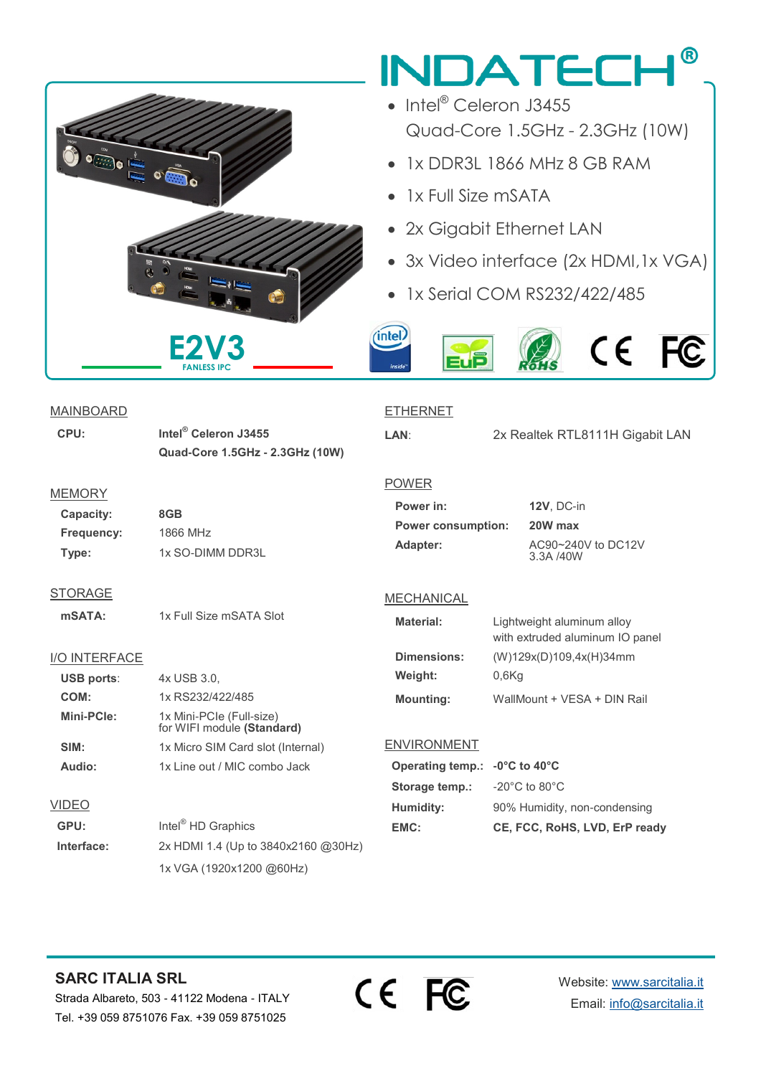### $^{\circledR}$ **INDATECH** • Intel<sup>®</sup> Celeron J3455 Quad-Core 1.5GHz - 2.3GHz (10W)  $\begin{picture}(180,10) \put(0,0){\line(1,0){10}} \put(10,0){\line(1,0){10}} \put(10,0){\line(1,0){10}} \put(10,0){\line(1,0){10}} \put(10,0){\line(1,0){10}} \put(10,0){\line(1,0){10}} \put(10,0){\line(1,0){10}} \put(10,0){\line(1,0){10}} \put(10,0){\line(1,0){10}} \put(10,0){\line(1,0){10}} \put(10,0){\line(1,0){10}} \put(10,0){\line($ • 1x DDR3L 1866 MHz 8 GB RAM • 1x Full Size mSATA • 2x Gigabit Ethernet LAN • 3x Video interface (2x HDMI,1x VGA) • 1x Serial COM RS232/422/485 (intel) **E2V3**  $\epsilon$ C **FANLESS IPCMAINBOARD ETHERNET**

**CPU: Intel® Celeron J3455 Quad-Core 1.5GHz - 2.3GHz (10W)**

#### **MEMORY**

**Capacity: 8GB Frequency:** 1866 MHz **Type:** 1x SO-DIMM DDR3L

**STORAGE** 

**mSATA:** 1x Full Size mSATA Slot

#### I/O INTERFACE

| <b>USB ports:</b> | 4x USB 3.0,                                            |  |  |  |
|-------------------|--------------------------------------------------------|--|--|--|
| COM:              | 1x RS232/422/485                                       |  |  |  |
| Mini-PCle:        | 1x Mini-PCIe (Full-size)<br>for WIFI module (Standard) |  |  |  |
| SIM:              | 1x Micro SIM Card slot (Internal)                      |  |  |  |
| Audio:            | 1x Line out / MIC combo Jack                           |  |  |  |
|                   |                                                        |  |  |  |
| VIDEO             |                                                        |  |  |  |
| GPU:              | Intel <sup>®</sup> HD Graphics                         |  |  |  |
| Interface:        | 2x HDMI 1.4 (Up to 3840x2160 @30Hz)                    |  |  |  |
|                   | 1x VGA (1920x1200 @60Hz)                               |  |  |  |

**LAN**: 2x Realtek RTL8111H Gigabit LAN

#### POWER

| Power in:                 | 12       |
|---------------------------|----------|
| <b>Power consumption:</b> | 20       |
| Adapter:                  | A(<br>3. |

**Power in: 12V**, DC-in **Power consumption: 20W max Adapter:** AC90~240V to DC12V  $3A / 40W$ 

#### MECHANICAL

| <b>Material:</b> | Lightweight aluminum alloy<br>with extruded aluminum IO panel |  |  |
|------------------|---------------------------------------------------------------|--|--|
| Dimensions:      | (W)129x(D)109,4x(H)34mm                                       |  |  |
| Weight:          | 0.6Kq                                                         |  |  |
| <b>Mounting:</b> | WallMount + VESA + DIN Rail                                   |  |  |

#### **ENVIRONMENT**

| Operating temp.: - 0°C to 40°C |                                    |
|--------------------------------|------------------------------------|
| Storage temp.:                 | $-20^{\circ}$ C to 80 $^{\circ}$ C |
| Humidity:                      | 90% Humidity, non-condensing       |
| EMC:                           | CE, FCC, RoHS, LVD, ErP ready      |

## **SARC ITALIA SRL**

Strada Albareto, 503 - 41122 Modena - ITALY Tel. +39 059 8751076 Fax. +39 059 8751025



Website: [www.sarcitalia.it](http://www.sarcitalia.it/) Email: [info@sarcitalia.it](mailto:info@sarcitalia.it?subject=INDATECH%20-%20CUBO)